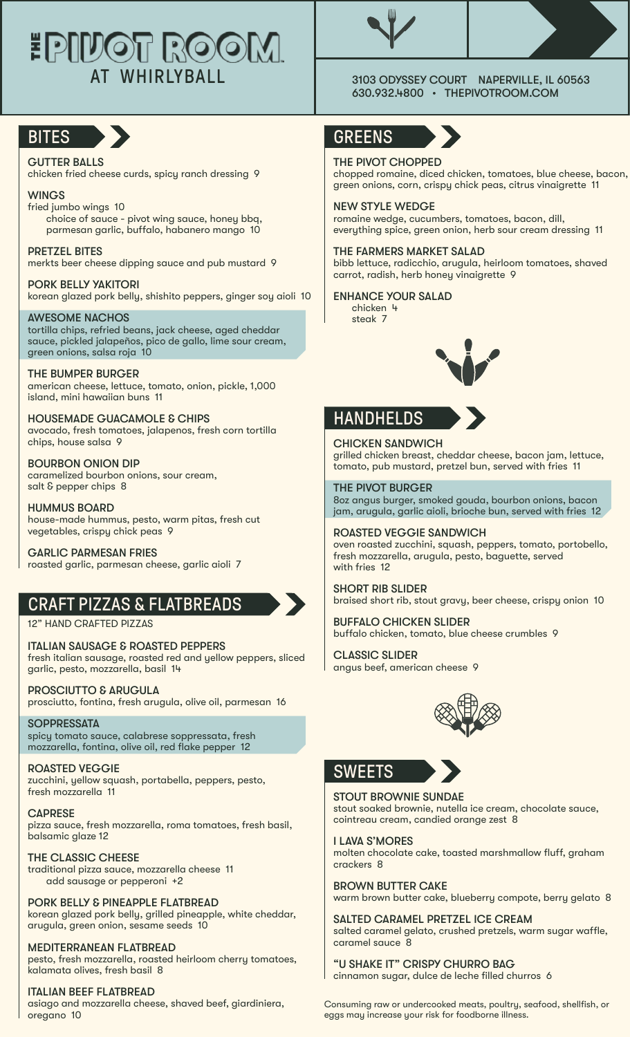# **EPILIOT ROOM** AT WHIRLYBALL 3103 ODYSSEY COURT NAPERVILLE, IL 60563



### GUTTER BALLS

chicken fried cheese curds, spicy ranch dressing 9

#### WINGS

fried jumbo wings 10 choice of sauce - pivot wing sauce, honey bbq, parmesan garlic, buffalo, habanero mango 10

PRETZEL BITES

merkts beer cheese dipping sauce and pub mustard 9

PORK BELLY YAKITORI korean glazed pork belly, shishito peppers, ginger soy aioli 10

#### AWESOME NACHOS

tortilla chips, refried beans, jack cheese, aged cheddar sauce, pickled jalapeños, pico de gallo, lime sour cream, green onions, salsa roja 10

#### THE BUMPER BURGER american cheese, lettuce, tomato, onion, pickle, 1,000 island, mini hawaiian buns 11

HOUSEMADE GUACAMOLE & CHIPS avocado, fresh tomatoes, jalapenos, fresh corn tortilla chips, house salsa 9

BOURBON ONION DIP caramelized bourbon onions, sour cream, salt & pepper chips 8

HUMMUS BOARD house-made hummus, pesto, warm pitas, fresh cut vegetables, crispy chick peas 9

GARLIC PARMESAN FRIES roasted garlic, parmesan cheese, garlic aioli 7

### CRAFT PIZZAS & FLATBREADS

12" HAND CRAFTED PIZZAS

ITALIAN SAUSAGE & ROASTED PEPPERS fresh italian sausage, roasted red and yellow peppers, sliced garlic, pesto, mozzarella, basil 14

PROSCIUTTO & ARUGULA prosciutto, fontina, fresh arugula, olive oil, parmesan 16

**SOPPRESSATA** spicy tomato sauce, calabrese soppressata, fresh mozzarella, fontina, olive oil, red flake pepper 12

ROASTED VEGGIE zucchini, yellow squash, portabella, peppers, pesto, fresh mozzarella 11

**CAPRESE** pizza sauce, fresh mozzarella, roma tomatoes, fresh basil, balsamic glaze 12

THE CLASSIC CHEESE traditional pizza sauce, mozzarella cheese 11 add sausage or pepperoni +2

PORK BELLY & PINEAPPLE FLATBREAD korean glazed pork belly, grilled pineapple, white cheddar, arugula, green onion, sesame seeds 10

### MEDITERRANEAN FLATBREAD

pesto, fresh mozzarella, roasted heirloom cherry tomatoes, kalamata olives, fresh basil 8

### ITALIAN BEEF FLATBREAD

asiago and mozzarella cheese, shaved beef, giardiniera, oregano 10





630.932.4800 • THEPIVOTROOM.COM

### GREENS

### THE PIVOT CHOPPED

chopped romaine, diced chicken, tomatoes, blue cheese, bacon, green onions, corn, crispy chick peas, citrus vinaigrette 11

NEW STYLE WEDGE

romaine wedge, cucumbers, tomatoes, bacon, dill, everything spice, green onion, herb sour cream dressing 11

THE FARMERS MARKET SALAD bibb lettuce, radicchio, arugula, heirloom tomatoes, shaved carrot, radish, herb honey vinaigrette 9

### ENHANCE YOUR SALAD

chicken 4 steak 7



# **HANDHELDS**

CHICKEN SANDWICH grilled chicken breast, cheddar cheese, bacon jam, lettuce, tomato, pub mustard, pretzel bun, served with fries 11

THE PIVOT BURGER 8oz angus burger, smoked gouda, bourbon onions, bacon jam, arugula, garlic aioli, brioche bun, served with fries 12

### ROASTED VEGGIE SANDWICH oven roasted zucchini, squash, peppers, tomato, portobello,

fresh mozzarella, arugula, pesto, baguette, served with fries 12

SHORT RIB SLIDER braised short rib, stout gravy, beer cheese, crispy onion 10

BUFFALO CHICKEN SLIDER buffalo chicken, tomato, blue cheese crumbles 9

CLASSIC SLIDER angus beef, american cheese 9



### **SWEETS**

STOUT BROWNIE SUNDAE stout soaked brownie, nutella ice cream, chocolate sauce, cointreau cream, candied orange zest 8

I LAVA S'MORES molten chocolate cake, toasted marshmallow fluff, graham crackers 8

BROWN BUTTER CAKE warm brown butter cake, blueberry compote, berry gelato 8

SALTED CARAMEL PRETZEL ICE CREAM salted caramel gelato, crushed pretzels, warm sugar waffle, caramel sauce 8

"U SHAKE IT" CRISPY CHURRO BAG cinnamon sugar, dulce de leche filled churros 6

Consuming raw or undercooked meats, poultry, seafood, shellfish, or eggs may increase your risk for foodborne illness.